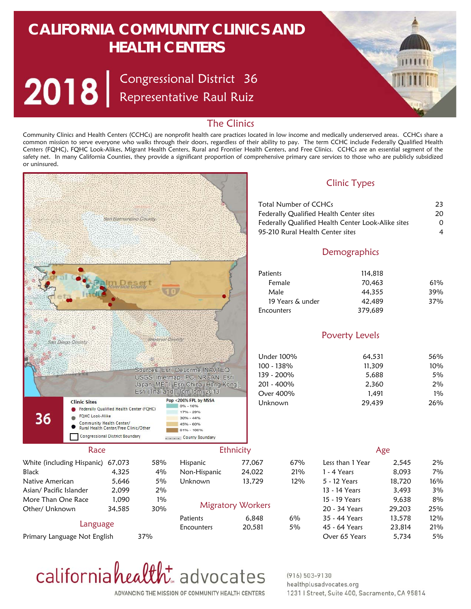# **CALIFORNIA COMMUNITY CLINICS AND HEALTH CENTERS**

Congressional District Representative Raul Ruiz 36



### The Clinics

Community Clinics and Health Centers (CCHCs) are nonprofit health care practices located in low income and medically underserved areas. CCHCs share a common mission to serve everyone who walks through their doors, regardless of their ability to pay. The term CCHC include Federally Qualified Health Centers (FQHC), FQHC Look-Alikes, Migrant Health Centers, Rural and Frontier Health Centers, and Free Clinics. CCHCs are an essential segment of the safety net. In many California Counties, they provide a significant proportion of comprehensive primary care services to those who are publicly subsidized or uninsured.





#### $(916) 503 - 9130$ healthplusadvocates.org 1231 | Street, Suite 400, Sacramento, CA 95814

ADVANCING THE MISSION OF COMMUNITY HEALTH CENTERS